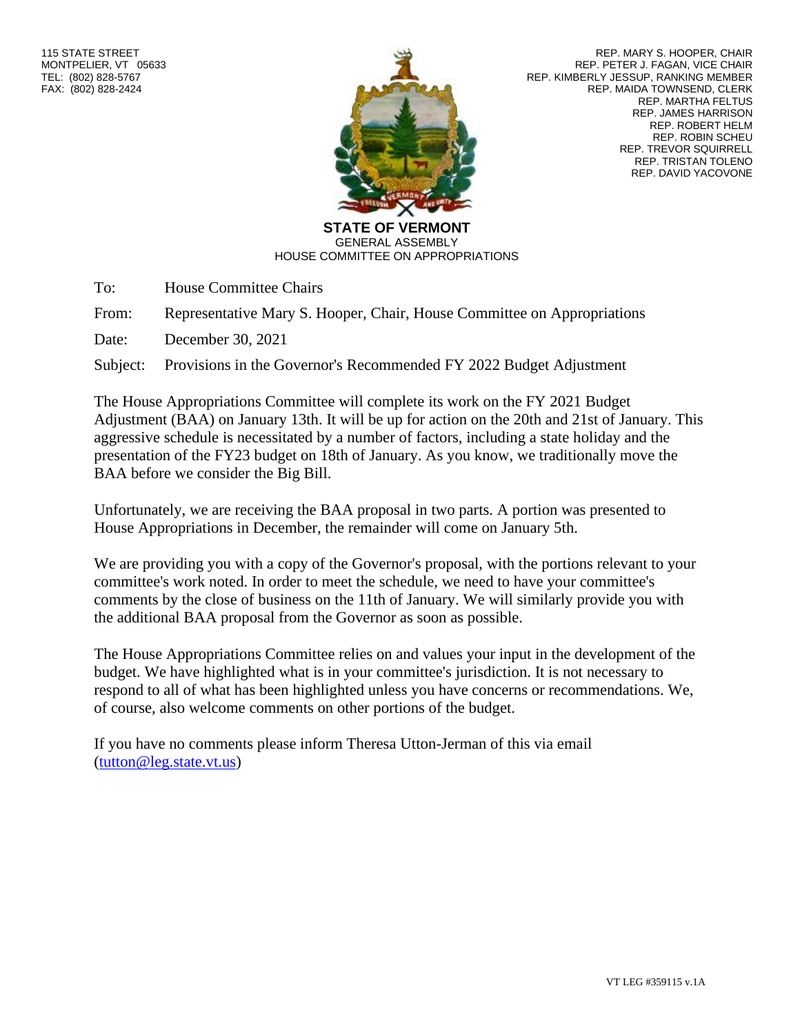

REP. MARY S. HOOPER, CHAIR REP. PETER J. FAGAN, VICE CHAIR REP. KIMBERLY JESSUP, RANKING MEMBER REP. MAIDA TOWNSEND, CLERK REP. MARTHA FELTUS REP. JAMES HARRISON REP. ROBERT HELM REP. ROBIN SCHEU REP. TREVOR SQUIRRELL REP. TRISTAN TOLENO REP. DAVID YACOVONE

**STATE OF VERMONT** GENERAL ASSEMBLY HOUSE COMMITTEE ON APPROPRIATIONS

To: House Committee Chairs

From: Representative Mary S. Hooper, Chair, House Committee on Appropriations

Date: December 30, 2021

Subject: Provisions in the Governor's Recommended FY 2022 Budget Adjustment

The House Appropriations Committee will complete its work on the FY 2021 Budget Adjustment (BAA) on January 13th. It will be up for action on the 20th and 21st of January. This aggressive schedule is necessitated by a number of factors, including a state holiday and the presentation of the FY23 budget on 18th of January. As you know, we traditionally move the BAA before we consider the Big Bill.

Unfortunately, we are receiving the BAA proposal in two parts. A portion was presented to House Appropriations in December, the remainder will come on January 5th.

We are providing you with a copy of the Governor's proposal, with the portions relevant to your committee's work noted. In order to meet the schedule, we need to have your committee's comments by the close of business on the 11th of January. We will similarly provide you with the additional BAA proposal from the Governor as soon as possible.

The House Appropriations Committee relies on and values your input in the development of the budget. We have highlighted what is in your committee's jurisdiction. It is not necessary to respond to all of what has been highlighted unless you have concerns or recommendations. We, of course, also welcome comments on other portions of the budget.

If you have no comments please inform Theresa Utton-Jerman of this via email [\(tutton@leg.state.vt.us\)](mailto:tutton@leg.state.vt.us)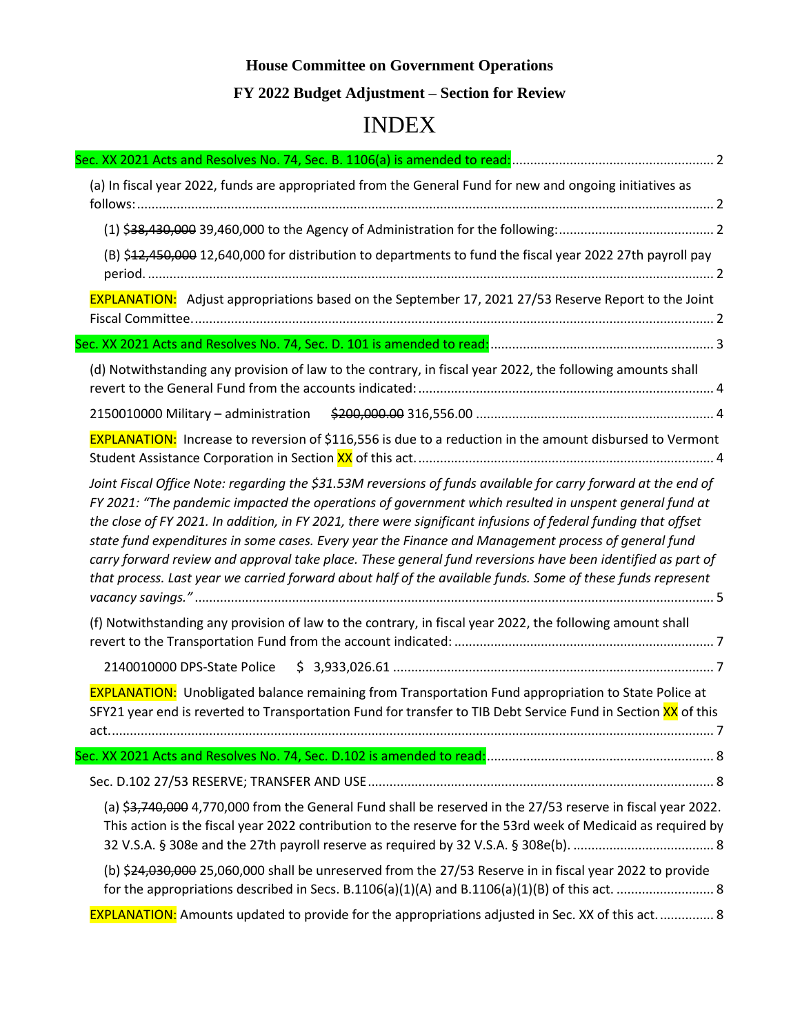## **House Committee on Government Operations FY 2022 Budget Adjustment – Section for Review**

# INDEX

| (a) In fiscal year 2022, funds are appropriated from the General Fund for new and ongoing initiatives as                                                                                                                                                                                                                                                                                                                                                                                                                                                                                                                                                                         |
|----------------------------------------------------------------------------------------------------------------------------------------------------------------------------------------------------------------------------------------------------------------------------------------------------------------------------------------------------------------------------------------------------------------------------------------------------------------------------------------------------------------------------------------------------------------------------------------------------------------------------------------------------------------------------------|
|                                                                                                                                                                                                                                                                                                                                                                                                                                                                                                                                                                                                                                                                                  |
| (B) \$12,450,000 12,640,000 for distribution to departments to fund the fiscal year 2022 27th payroll pay                                                                                                                                                                                                                                                                                                                                                                                                                                                                                                                                                                        |
| <b>EXPLANATION:</b> Adjust appropriations based on the September 17, 2021 27/53 Reserve Report to the Joint                                                                                                                                                                                                                                                                                                                                                                                                                                                                                                                                                                      |
|                                                                                                                                                                                                                                                                                                                                                                                                                                                                                                                                                                                                                                                                                  |
| (d) Notwithstanding any provision of law to the contrary, in fiscal year 2022, the following amounts shall                                                                                                                                                                                                                                                                                                                                                                                                                                                                                                                                                                       |
|                                                                                                                                                                                                                                                                                                                                                                                                                                                                                                                                                                                                                                                                                  |
| <b>EXPLANATION:</b> Increase to reversion of \$116,556 is due to a reduction in the amount disbursed to Vermont                                                                                                                                                                                                                                                                                                                                                                                                                                                                                                                                                                  |
| Joint Fiscal Office Note: regarding the \$31.53M reversions of funds available for carry forward at the end of<br>FY 2021: "The pandemic impacted the operations of government which resulted in unspent general fund at<br>the close of FY 2021. In addition, in FY 2021, there were significant infusions of federal funding that offset<br>state fund expenditures in some cases. Every year the Finance and Management process of general fund<br>carry forward review and approval take place. These general fund reversions have been identified as part of<br>that process. Last year we carried forward about half of the available funds. Some of these funds represent |
| (f) Notwithstanding any provision of law to the contrary, in fiscal year 2022, the following amount shall                                                                                                                                                                                                                                                                                                                                                                                                                                                                                                                                                                        |
| 2140010000 DPS-State Police                                                                                                                                                                                                                                                                                                                                                                                                                                                                                                                                                                                                                                                      |
| <b>EXPLANATION:</b> Unobligated balance remaining from Transportation Fund appropriation to State Police at<br>SFY21 year end is reverted to Transportation Fund for transfer to TIB Debt Service Fund in Section XX of this                                                                                                                                                                                                                                                                                                                                                                                                                                                     |
|                                                                                                                                                                                                                                                                                                                                                                                                                                                                                                                                                                                                                                                                                  |
|                                                                                                                                                                                                                                                                                                                                                                                                                                                                                                                                                                                                                                                                                  |
| (a) \$3,740,000 4,770,000 from the General Fund shall be reserved in the 27/53 reserve in fiscal year 2022.<br>This action is the fiscal year 2022 contribution to the reserve for the 53rd week of Medicaid as required by                                                                                                                                                                                                                                                                                                                                                                                                                                                      |
| (b) \$24,030,000 25,060,000 shall be unreserved from the 27/53 Reserve in in fiscal year 2022 to provide                                                                                                                                                                                                                                                                                                                                                                                                                                                                                                                                                                         |
| <b>EXPLANATION:</b> Amounts updated to provide for the appropriations adjusted in Sec. XX of this act 8                                                                                                                                                                                                                                                                                                                                                                                                                                                                                                                                                                          |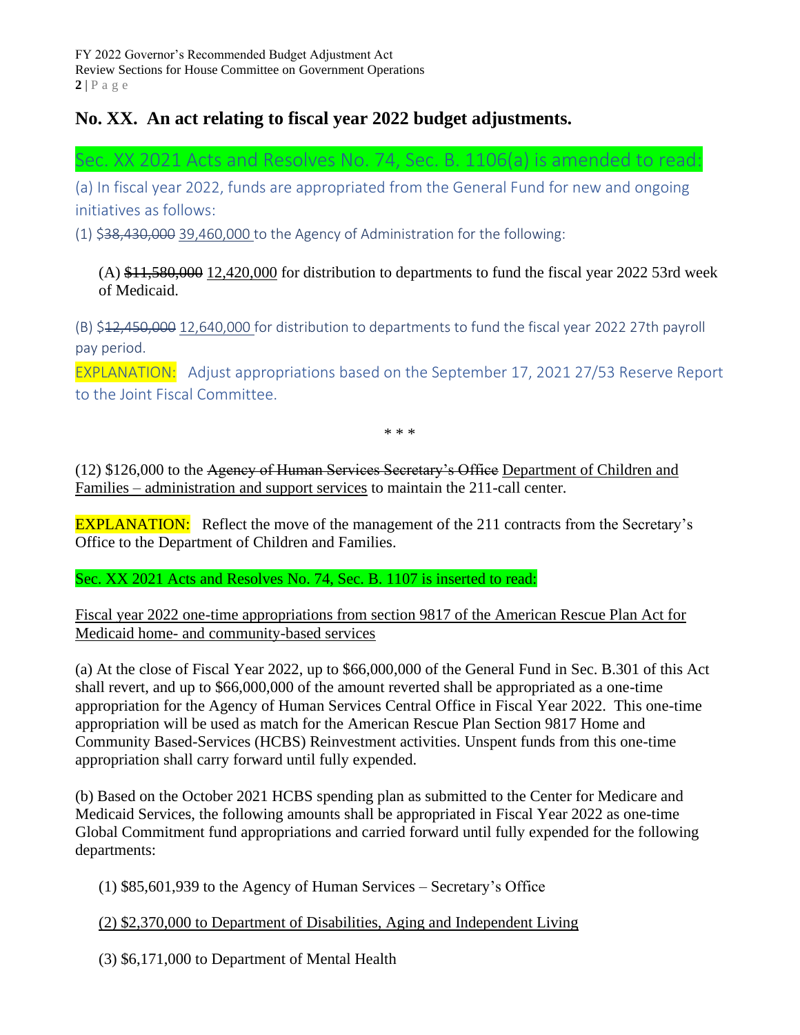## **No. XX. An act relating to fiscal year 2022 budget adjustments.**

<span id="page-2-0"></span>Sec. XX 2021 Acts and Resolves No. 74, Sec. B. 1106(a) is amended to read:

<span id="page-2-1"></span>(a) In fiscal year 2022, funds are appropriated from the General Fund for new and ongoing initiatives as follows:

<span id="page-2-2"></span> $(1)$  \$38,430,000 39,460,000 to the Agency of Administration for the following:

 $(A)$  \$11,580,000 12,420,000 for distribution to departments to fund the fiscal year 2022 53rd week of Medicaid.

<span id="page-2-3"></span>(B) \$12,450,000 12,640,000 for distribution to departments to fund the fiscal year 2022 27th payroll pay period.

<span id="page-2-4"></span>EXPLANATION: Adjust appropriations based on the September 17, 2021 27/53 Reserve Report to the Joint Fiscal Committee.

\* \* \*

(12) \$126,000 to the Agency of Human Services Secretary's Office Department of Children and Families – administration and support services to maintain the 211-call center.

EXPLANATION: Reflect the move of the management of the 211 contracts from the Secretary's Office to the Department of Children and Families.

Sec. XX 2021 Acts and Resolves No. 74, Sec. B. 1107 is inserted to read:

Fiscal year 2022 one-time appropriations from section 9817 of the American Rescue Plan Act for Medicaid home- and community-based services

(a) At the close of Fiscal Year 2022, up to \$66,000,000 of the General Fund in Sec. B.301 of this Act shall revert, and up to \$66,000,000 of the amount reverted shall be appropriated as a one-time appropriation for the Agency of Human Services Central Office in Fiscal Year 2022. This one-time appropriation will be used as match for the American Rescue Plan Section 9817 Home and Community Based-Services (HCBS) Reinvestment activities. Unspent funds from this one-time appropriation shall carry forward until fully expended.

(b) Based on the October 2021 HCBS spending plan as submitted to the Center for Medicare and Medicaid Services, the following amounts shall be appropriated in Fiscal Year 2022 as one-time Global Commitment fund appropriations and carried forward until fully expended for the following departments:

(1) \$85,601,939 to the Agency of Human Services – Secretary's Office

#### (2) \$2,370,000 to Department of Disabilities, Aging and Independent Living

(3) \$6,171,000 to Department of Mental Health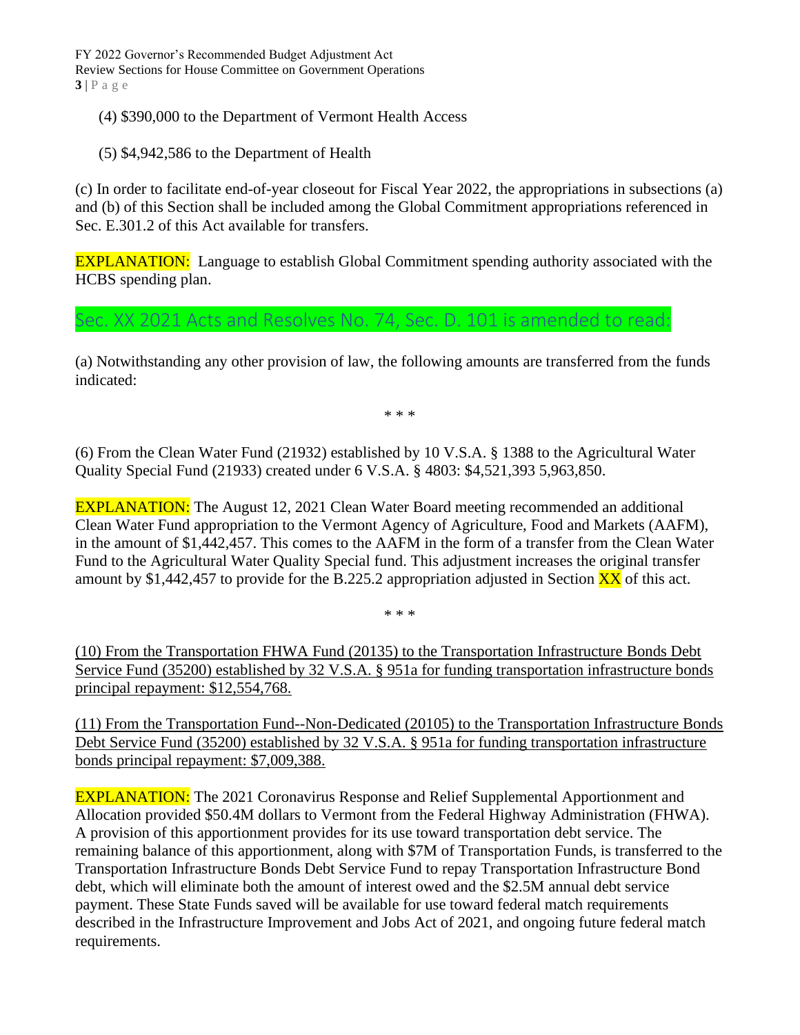FY 2022 Governor's Recommended Budget Adjustment Act Review Sections for House Committee on Government Operations **3** | P a g e

- (4) \$390,000 to the Department of Vermont Health Access
- (5) \$4,942,586 to the Department of Health

(c) In order to facilitate end-of-year closeout for Fiscal Year 2022, the appropriations in subsections (a) and (b) of this Section shall be included among the Global Commitment appropriations referenced in Sec. E.301.2 of this Act available for transfers.

EXPLANATION: Language to establish Global Commitment spending authority associated with the HCBS spending plan.

<span id="page-3-0"></span>Sec. XX 2021 Acts and Resolves No. 74, Sec. D. 101 is amended to read:

(a) Notwithstanding any other provision of law, the following amounts are transferred from the funds indicated:

\* \* \*

(6) From the Clean Water Fund (21932) established by 10 V.S.A. § 1388 to the Agricultural Water Quality Special Fund (21933) created under 6 V.S.A. § 4803: \$4,521,393 5,963,850.

EXPLANATION: The August 12, 2021 Clean Water Board meeting recommended an additional Clean Water Fund appropriation to the Vermont Agency of Agriculture, Food and Markets (AAFM), in the amount of \$1,442,457. This comes to the AAFM in the form of a transfer from the Clean Water Fund to the Agricultural Water Quality Special fund. This adjustment increases the original transfer amount by \$1,442,457 to provide for the B.225.2 appropriation adjusted in Section  $\overline{XX}$  of this act.

\* \* \*

(10) From the Transportation FHWA Fund (20135) to the Transportation Infrastructure Bonds Debt Service Fund (35200) established by 32 V.S.A. § 951a for funding transportation infrastructure bonds principal repayment: \$12,554,768.

(11) From the Transportation Fund--Non-Dedicated (20105) to the Transportation Infrastructure Bonds Debt Service Fund (35200) established by 32 V.S.A. § 951a for funding transportation infrastructure bonds principal repayment: \$7,009,388.

EXPLANATION: The 2021 Coronavirus Response and Relief Supplemental Apportionment and Allocation provided \$50.4M dollars to Vermont from the Federal Highway Administration (FHWA). A provision of this apportionment provides for its use toward transportation debt service. The remaining balance of this apportionment, along with \$7M of Transportation Funds, is transferred to the Transportation Infrastructure Bonds Debt Service Fund to repay Transportation Infrastructure Bond debt, which will eliminate both the amount of interest owed and the \$2.5M annual debt service payment. These State Funds saved will be available for use toward federal match requirements described in the Infrastructure Improvement and Jobs Act of 2021, and ongoing future federal match requirements.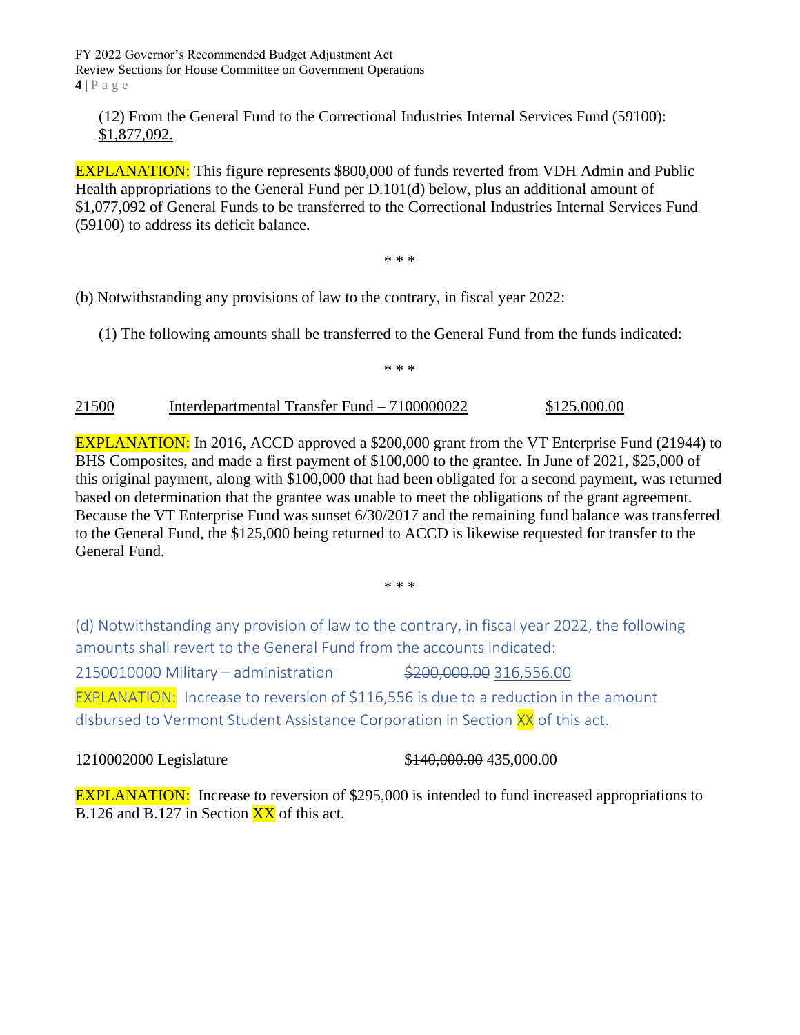FY 2022 Governor's Recommended Budget Adjustment Act Review Sections for House Committee on Government Operations **4** | P a g e

#### (12) From the General Fund to the Correctional Industries Internal Services Fund (59100): \$1,877,092.

EXPLANATION: This figure represents \$800,000 of funds reverted from VDH Admin and Public Health appropriations to the General Fund per D.101(d) below, plus an additional amount of \$1,077,092 of General Funds to be transferred to the Correctional Industries Internal Services Fund (59100) to address its deficit balance.

\* \* \*

(b) Notwithstanding any provisions of law to the contrary, in fiscal year 2022:

(1) The following amounts shall be transferred to the General Fund from the funds indicated:

\* \* \*

#### 21500 Interdepartmental Transfer Fund – 7100000022 \$125,000.00

EXPLANATION: In 2016, ACCD approved a \$200,000 grant from the VT Enterprise Fund (21944) to BHS Composites, and made a first payment of \$100,000 to the grantee. In June of 2021, \$25,000 of this original payment, along with \$100,000 that had been obligated for a second payment, was returned based on determination that the grantee was unable to meet the obligations of the grant agreement. Because the VT Enterprise Fund was sunset 6/30/2017 and the remaining fund balance was transferred to the General Fund, the \$125,000 being returned to ACCD is likewise requested for transfer to the General Fund.

\* \* \*

<span id="page-4-0"></span>(d) Notwithstanding any provision of law to the contrary, in fiscal year 2022, the following amounts shall revert to the General Fund from the accounts indicated:

<span id="page-4-2"></span><span id="page-4-1"></span>2150010000 Military – administration \$200,000.00 316,556.00 EXPLANATION: Increase to reversion of \$116,556 is due to a reduction in the amount disbursed to Vermont Student Assistance Corporation in Section XX of this act.

1210002000 Legislature \$140,000.00 \$140,000.00 \$15,000.00

EXPLANATION: Increase to reversion of \$295,000 is intended to fund increased appropriations to B.126 and B.127 in Section  $\overline{XX}$  of this act.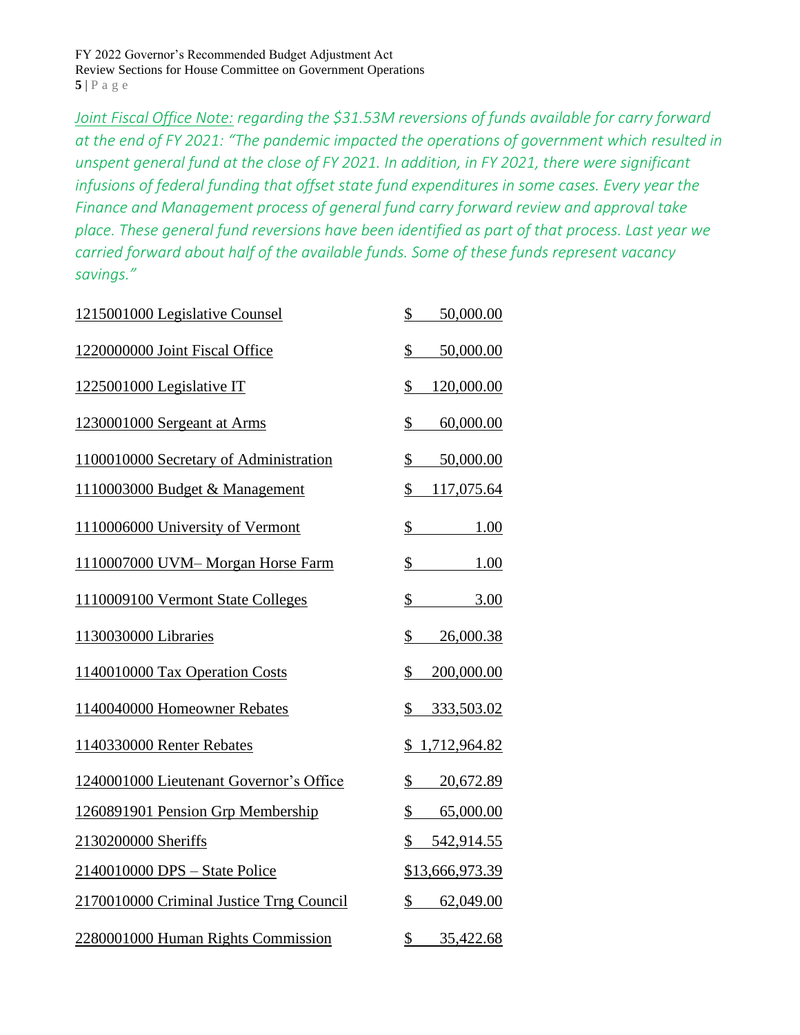FY 2022 Governor's Recommended Budget Adjustment Act Review Sections for House Committee on Government Operations **5** | P a g e

<span id="page-5-0"></span>*Joint Fiscal Office Note: regarding the \$31.53M reversions of funds available for carry forward at the end of FY 2021: "The pandemic impacted the operations of government which resulted in unspent general fund at the close of FY 2021. In addition, in FY 2021, there were significant infusions of federal funding that offset state fund expenditures in some cases. Every year the Finance and Management process of general fund carry forward review and approval take place. These general fund reversions have been identified as part of that process. Last year we carried forward about half of the available funds. Some of these funds represent vacancy savings."*

| 1215001000 Legislative Counsel           | 50,000.00<br>\$                  |
|------------------------------------------|----------------------------------|
| 1220000000 Joint Fiscal Office           | \$<br>50,000.00                  |
| 1225001000 Legislative IT                | \$<br>120,000.00                 |
| 1230001000 Sergeant at Arms              | \$<br>60,000.00                  |
| 1100010000 Secretary of Administration   | \$<br>50,000.00                  |
| 1110003000 Budget & Management           | \$<br>117,075.64                 |
| 1110006000 University of Vermont         | \$<br>1.00                       |
| 1110007000 UVM-Morgan Horse Farm         | \$<br>1.00                       |
| 1110009100 Vermont State Colleges        | $\overline{\mathcal{L}}$<br>3.00 |
| 1130030000 Libraries                     | \$<br>26,000.38                  |
| 1140010000 Tax Operation Costs           | \$<br>200,000.00                 |
| 1140040000 Homeowner Rebates             | \$<br>333,503.02                 |
| 1140330000 Renter Rebates                | \$1,712,964.82                   |
| 1240001000 Lieutenant Governor's Office  | \$<br>20,672.89                  |
| 1260891901 Pension Grp Membership        | \$<br>65,000.00                  |
| 2130200000 Sheriffs                      | \$542,914.55                     |
| 2140010000 DPS - State Police            | \$13,666,973.39                  |
| 2170010000 Criminal Justice Trng Council | \$<br>62,049.00                  |
| 2280001000 Human Rights Commission       | \$<br>35,422.68                  |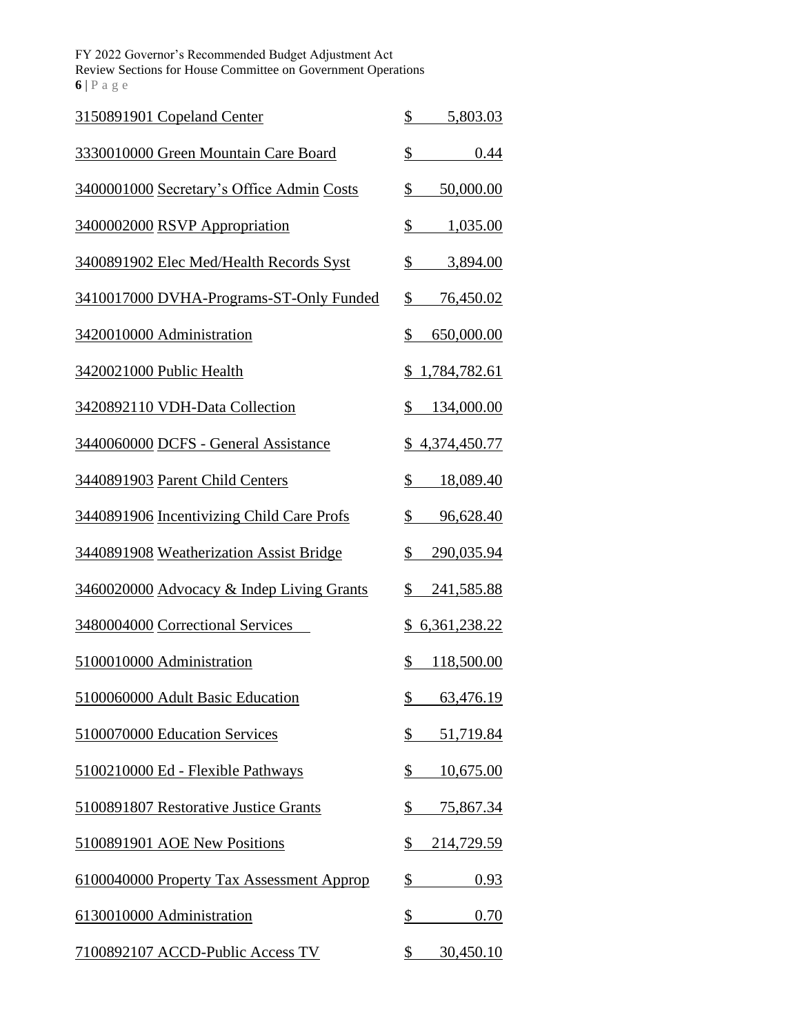FY 2022 Governor's Recommended Budget Adjustment Act Review Sections for House Committee on Government Operations **6** | P a g e

| 3150891901 Copeland Center                | \$<br>5,803.03             |
|-------------------------------------------|----------------------------|
| 3330010000 Green Mountain Care Board      | $\frac{1}{2}$<br>0.44      |
| 3400001000 Secretary's Office Admin Costs | \$<br>50,000.00            |
| 3400002000 RSVP Appropriation             | \$<br>1,035.00             |
| 3400891902 Elec Med/Health Records Syst   | \$<br>3,894.00             |
| 3410017000 DVHA-Programs-ST-Only Funded   | \$<br>76,450.02            |
| 3420010000 Administration                 | \$<br>650,000.00           |
| 3420021000 Public Health                  | \$1,784,782.61             |
| 3420892110 VDH-Data Collection            | $\mathbb{S}$<br>134,000.00 |
| 3440060000 DCFS - General Assistance      | <u>\$4,374,450.77</u>      |
| 3440891903 Parent Child Centers           | \$<br>18,089.40            |
| 3440891906 Incentivizing Child Care Profs | \$<br>96,628.40            |
| 3440891908 Weatherization Assist Bridge   | \$<br>290,035.94           |
| 3460020000 Advocacy & Indep Living Grants | \$<br>241,585.88           |
| 3480004000 Correctional Services          | <u>\$6,361,238.22</u>      |
| 5100010000 Administration                 | $\mathbb{S}$<br>118,500.00 |
| 5100060000 Adult Basic Education          | 63,476.19<br>⅀             |
| 5100070000 Education Services             | \$<br><u>51,719.84</u>     |
| 5100210000 Ed - Flexible Pathways         | \$<br>10,675.00            |
| 5100891807 Restorative Justice Grants     | \$<br><u>75,867.34</u>     |
| 5100891901 AOE New Positions              | \$<br><u>214,729.59</u>    |
| 6100040000 Property Tax Assessment Approp | \$<br>0.93                 |
| 6130010000 Administration                 | \$<br>0.70                 |
| 7100892107 ACCD-Public Access TV          | \$<br>30,450.10            |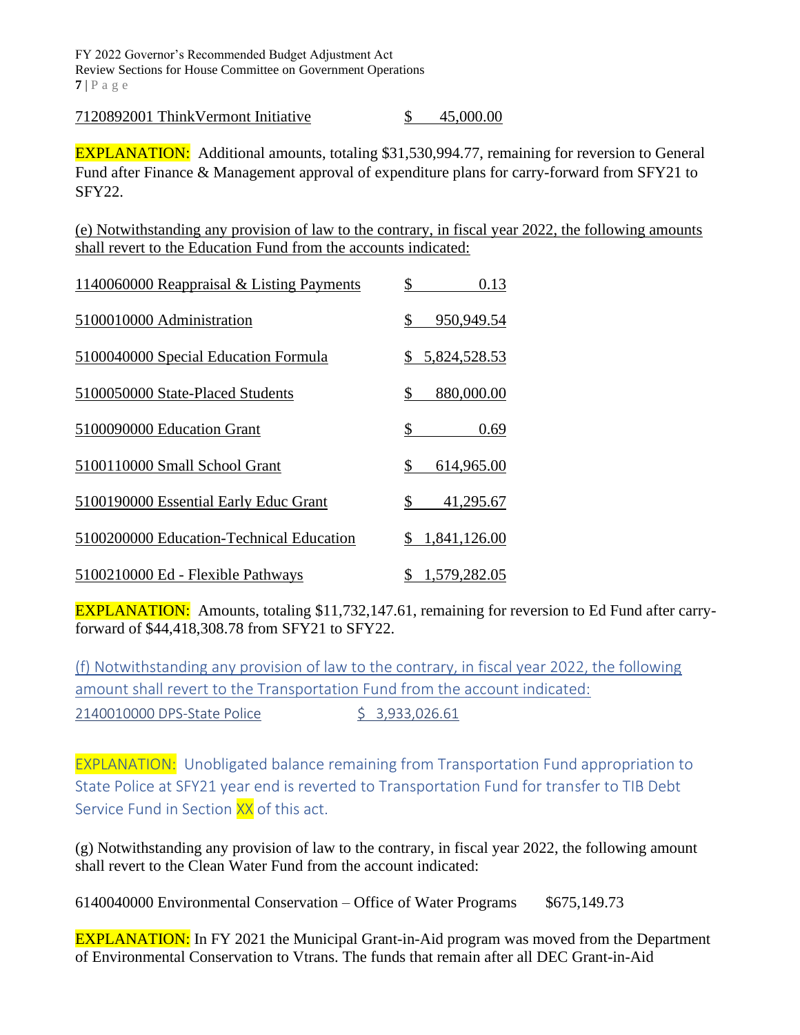FY 2022 Governor's Recommended Budget Adjustment Act Review Sections for House Committee on Government Operations **7** | P a g e

7120892001 ThinkVermont Initiative \$ 45,000.00

EXPLANATION: Additional amounts, totaling \$31,530,994.77, remaining for reversion to General Fund after Finance & Management approval of expenditure plans for carry-forward from SFY21 to SFY22.

(e) Notwithstanding any provision of law to the contrary, in fiscal year 2022, the following amounts shall revert to the Education Fund from the accounts indicated:

| 1140060000 Reappraisal & Listing Payments | 0.13               |
|-------------------------------------------|--------------------|
| 5100010000 Administration                 | 950,949.54<br>\$   |
| 5100040000 Special Education Formula      | 5,824,528.53       |
| 5100050000 State-Placed Students          | 880,000.00<br>\$   |
| 5100090000 Education Grant                | \$<br>0.69         |
| 5100110000 Small School Grant             | \$<br>614,965.00   |
| 5100190000 Essential Early Educ Grant     | \$<br>41,295.67    |
| 5100200000 Education-Technical Education  | 1,841,126.00       |
| 5100210000 Ed - Flexible Pathways         | 1,579,282.05<br>\$ |

EXPLANATION: Amounts, totaling \$11,732,147.61, remaining for reversion to Ed Fund after carryforward of \$44,418,308.78 from SFY21 to SFY22.

<span id="page-7-1"></span><span id="page-7-0"></span>(f) Notwithstanding any provision of law to the contrary, in fiscal year 2022, the following amount shall revert to the Transportation Fund from the account indicated: 2140010000 DPS-State Police \$ 3,933,026.61

<span id="page-7-2"></span>EXPLANATION: Unobligated balance remaining from Transportation Fund appropriation to State Police at SFY21 year end is reverted to Transportation Fund for transfer to TIB Debt Service Fund in Section XX of this act.

(g) Notwithstanding any provision of law to the contrary, in fiscal year 2022, the following amount shall revert to the Clean Water Fund from the account indicated:

6140040000 Environmental Conservation – Office of Water Programs \$675,149.73

**EXPLANATION:** In FY 2021 the Municipal Grant-in-Aid program was moved from the Department of Environmental Conservation to Vtrans. The funds that remain after all DEC Grant-in-Aid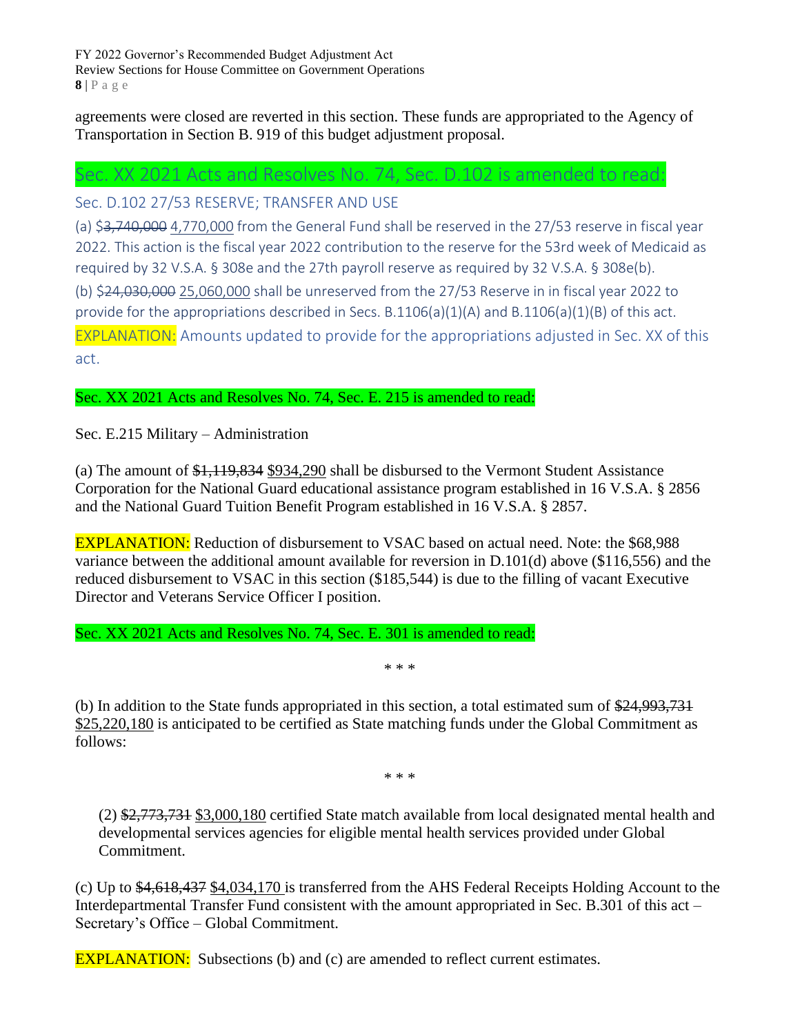FY 2022 Governor's Recommended Budget Adjustment Act Review Sections for House Committee on Government Operations **8** | P a g e

agreements were closed are reverted in this section. These funds are appropriated to the Agency of Transportation in Section B. 919 of this budget adjustment proposal.

## <span id="page-8-0"></span>Sec. XX 2021 Acts and Resolves No. 74, Sec. D.102 is amended to read:

<span id="page-8-1"></span>Sec. D.102 27/53 RESERVE; TRANSFER AND USE

<span id="page-8-3"></span><span id="page-8-2"></span>(a) \$3,740,000 4,770,000 from the General Fund shall be reserved in the 27/53 reserve in fiscal year 2022. This action is the fiscal year 2022 contribution to the reserve for the 53rd week of Medicaid as required by 32 V.S.A. § 308e and the 27th payroll reserve as required by 32 V.S.A. § 308e(b). (b) \$24,030,000 25,060,000 shall be unreserved from the 27/53 Reserve in in fiscal year 2022 to provide for the appropriations described in Secs. B.1106(a)(1)(A) and B.1106(a)(1)(B) of this act. EXPLANATION: Amounts updated to provide for the appropriations adjusted in Sec. XX of this act.

<span id="page-8-4"></span>Sec. XX 2021 Acts and Resolves No. 74, Sec. E. 215 is amended to read:

Sec. E.215 Military – Administration

(a) The amount of \$1,119,834 \$934,290 shall be disbursed to the Vermont Student Assistance Corporation for the National Guard educational assistance program established in 16 V.S.A. § 2856 and the National Guard Tuition Benefit Program established in 16 V.S.A. § 2857.

EXPLANATION: Reduction of disbursement to VSAC based on actual need. Note: the \$68,988 variance between the additional amount available for reversion in D.101(d) above (\$116,556) and the reduced disbursement to VSAC in this section (\$185,544) is due to the filling of vacant Executive Director and Veterans Service Officer I position.

Sec. XX 2021 Acts and Resolves No. 74, Sec. E. 301 is amended to read:

\* \* \*

(b) In addition to the State funds appropriated in this section, a total estimated sum of \$24,993,731 \$25,220,180 is anticipated to be certified as State matching funds under the Global Commitment as follows:

\* \* \*

(2) \$2,773,731 \$3,000,180 certified State match available from local designated mental health and developmental services agencies for eligible mental health services provided under Global Commitment.

(c) Up to \$4,618,437 \$4,034,170 is transferred from the AHS Federal Receipts Holding Account to the Interdepartmental Transfer Fund consistent with the amount appropriated in Sec. B.301 of this act – Secretary's Office – Global Commitment.

**EXPLANATION:** Subsections (b) and (c) are amended to reflect current estimates.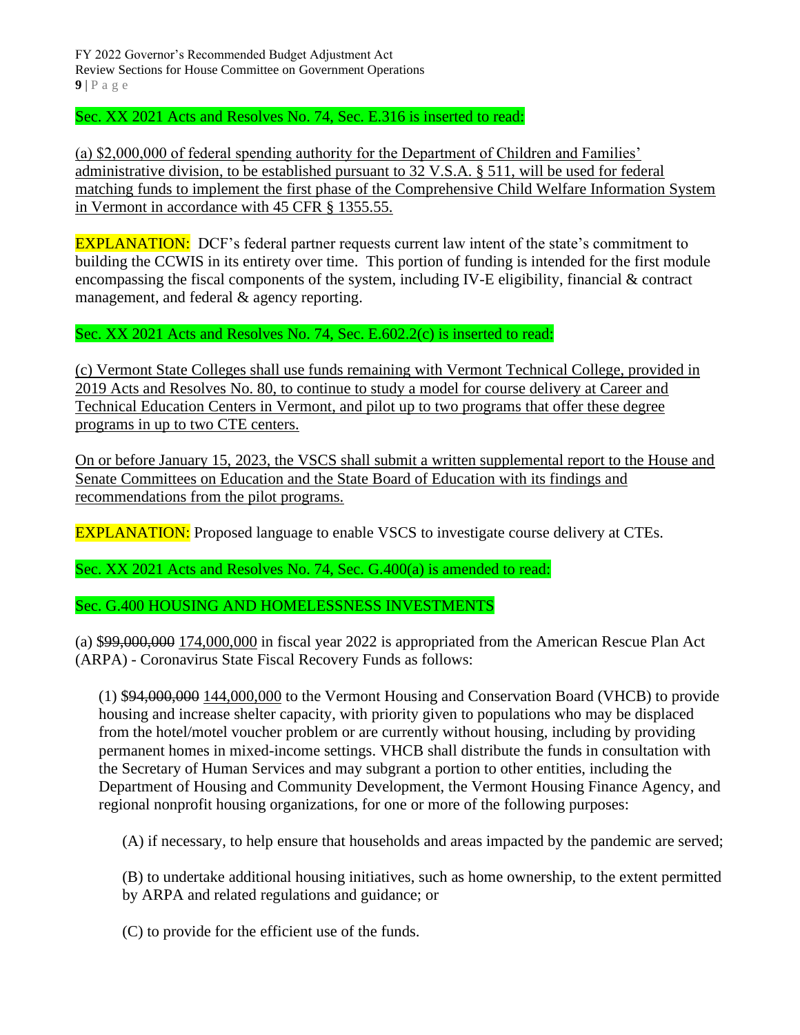FY 2022 Governor's Recommended Budget Adjustment Act Review Sections for House Committee on Government Operations  $9 \mid P \text{ a } g \text{ e}$ 

Sec. XX 2021 Acts and Resolves No. 74, Sec. E.316 is inserted to read:

(a) \$2,000,000 of federal spending authority for the Department of Children and Families' administrative division, to be established pursuant to 32 V.S.A. § 511, will be used for federal matching funds to implement the first phase of the Comprehensive Child Welfare Information System in Vermont in accordance with 45 CFR § 1355.55.

**EXPLANATION:** DCF's federal partner requests current law intent of the state's commitment to building the CCWIS in its entirety over time. This portion of funding is intended for the first module encompassing the fiscal components of the system, including IV-E eligibility, financial & contract management, and federal & agency reporting.

Sec. XX 2021 Acts and Resolves No. 74, Sec. E.602.2(c) is inserted to read:

(c) Vermont State Colleges shall use funds remaining with Vermont Technical College, provided in 2019 Acts and Resolves No. 80, to continue to study a model for course delivery at Career and Technical Education Centers in Vermont, and pilot up to two programs that offer these degree programs in up to two CTE centers.

On or before January 15, 2023, the VSCS shall submit a written supplemental report to the House and Senate Committees on Education and the State Board of Education with its findings and recommendations from the pilot programs.

EXPLANATION: Proposed language to enable VSCS to investigate course delivery at CTEs.

Sec. XX 2021 Acts and Resolves No. 74, Sec. G.400(a) is amended to read:

Sec. G.400 HOUSING AND HOMELESSNESS INVESTMENTS

(a) \$99,000,000 174,000,000 in fiscal year 2022 is appropriated from the American Rescue Plan Act (ARPA) - Coronavirus State Fiscal Recovery Funds as follows:

(1) \$94,000,000 144,000,000 to the Vermont Housing and Conservation Board (VHCB) to provide housing and increase shelter capacity, with priority given to populations who may be displaced from the hotel/motel voucher problem or are currently without housing, including by providing permanent homes in mixed-income settings. VHCB shall distribute the funds in consultation with the Secretary of Human Services and may subgrant a portion to other entities, including the Department of Housing and Community Development, the Vermont Housing Finance Agency, and regional nonprofit housing organizations, for one or more of the following purposes:

(A) if necessary, to help ensure that households and areas impacted by the pandemic are served;

(B) to undertake additional housing initiatives, such as home ownership, to the extent permitted by ARPA and related regulations and guidance; or

(C) to provide for the efficient use of the funds.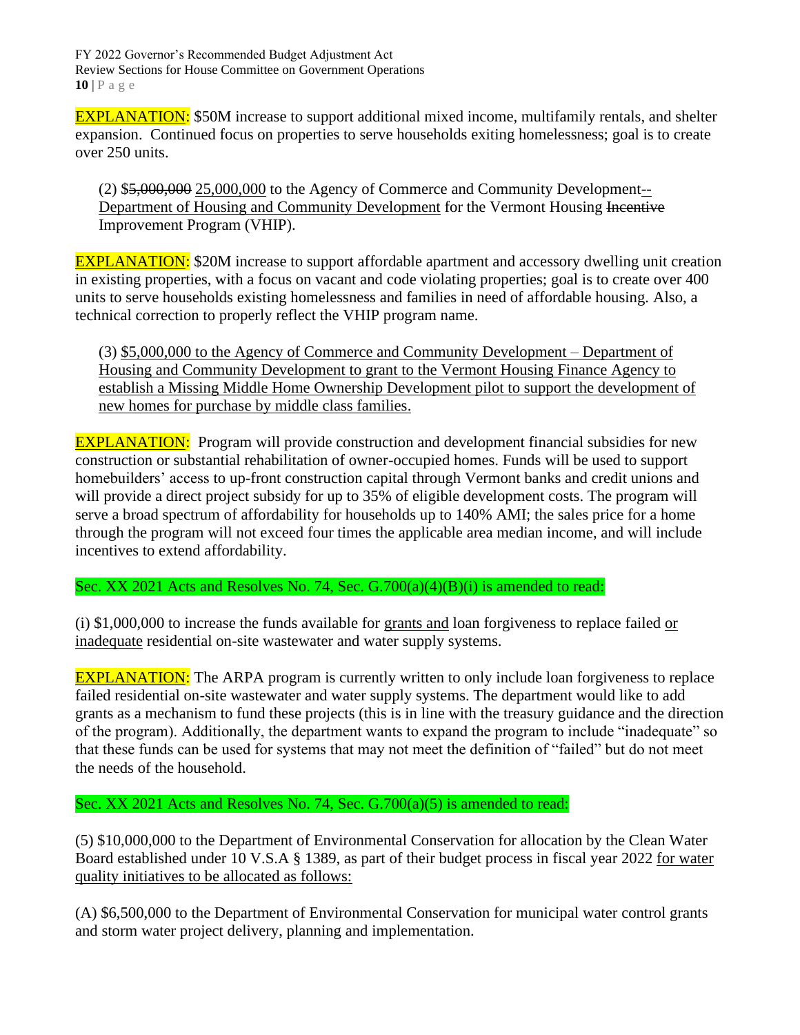FY 2022 Governor's Recommended Budget Adjustment Act Review Sections for House Committee on Government Operations **10** | P a g e

EXPLANATION: \$50M increase to support additional mixed income, multifamily rentals, and shelter expansion. Continued focus on properties to serve households exiting homelessness; goal is to create over 250 units.

(2) \$5,000,000 25,000,000 to the Agency of Commerce and Community Development-- Department of Housing and Community Development for the Vermont Housing Incentive Improvement Program (VHIP).

EXPLANATION: \$20M increase to support affordable apartment and accessory dwelling unit creation in existing properties, with a focus on vacant and code violating properties; goal is to create over 400 units to serve households existing homelessness and families in need of affordable housing. Also, a technical correction to properly reflect the VHIP program name.

(3) \$5,000,000 to the Agency of Commerce and Community Development – Department of Housing and Community Development to grant to the Vermont Housing Finance Agency to establish a Missing Middle Home Ownership Development pilot to support the development of new homes for purchase by middle class families.

**EXPLANATION:** Program will provide construction and development financial subsidies for new construction or substantial rehabilitation of owner-occupied homes. Funds will be used to support homebuilders' access to up-front construction capital through Vermont banks and credit unions and will provide a direct project subsidy for up to 35% of eligible development costs. The program will serve a broad spectrum of affordability for households up to 140% AMI; the sales price for a home through the program will not exceed four times the applicable area median income, and will include incentives to extend affordability.

Sec. XX 2021 Acts and Resolves No. 74, Sec. G.700(a)(4)(B)(i) is amended to read:

(i)  $$1,000,000$  to increase the funds available for grants and loan forgiveness to replace failed or inadequate residential on-site wastewater and water supply systems.

**EXPLANATION:** The ARPA program is currently written to only include loan forgiveness to replace failed residential on-site wastewater and water supply systems. The department would like to add grants as a mechanism to fund these projects (this is in line with the treasury guidance and the direction of the program). Additionally, the department wants to expand the program to include "inadequate" so that these funds can be used for systems that may not meet the definition of "failed" but do not meet the needs of the household.

Sec. XX 2021 Acts and Resolves No. 74, Sec. G.700(a)(5) is amended to read:

(5) \$10,000,000 to the Department of Environmental Conservation for allocation by the Clean Water Board established under 10 V.S.A § 1389, as part of their budget process in fiscal year 2022 for water quality initiatives to be allocated as follows:

(A) \$6,500,000 to the Department of Environmental Conservation for municipal water control grants and storm water project delivery, planning and implementation.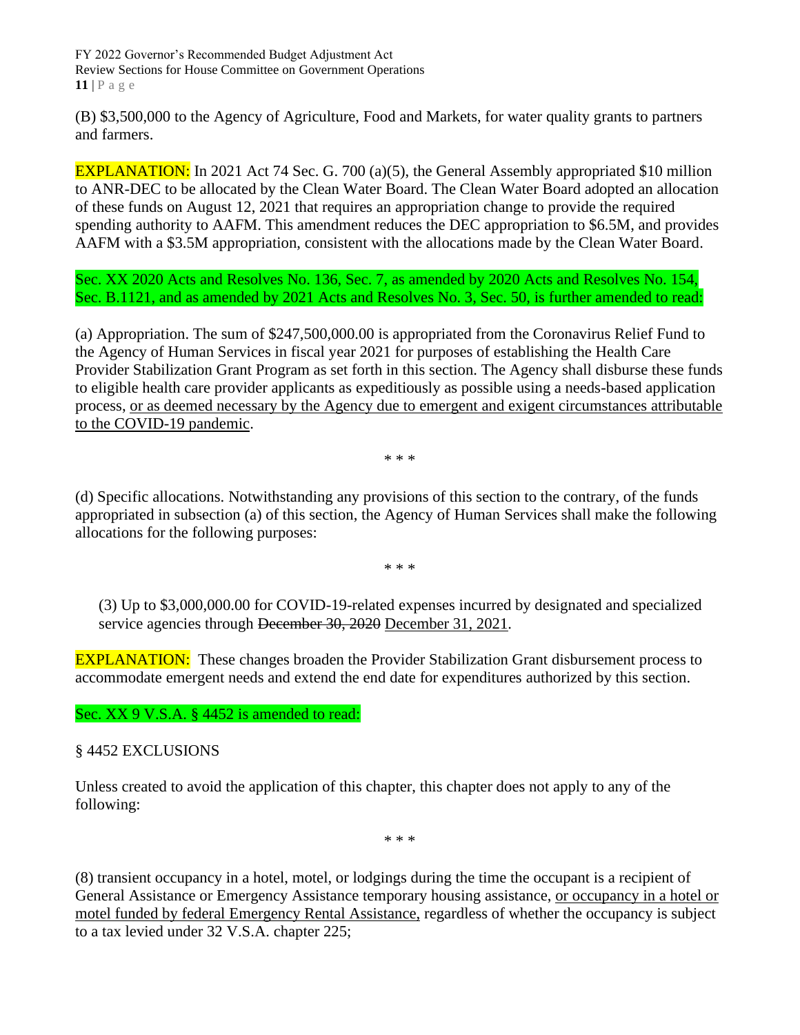FY 2022 Governor's Recommended Budget Adjustment Act Review Sections for House Committee on Government Operations **11** | P a g e

(B) \$3,500,000 to the Agency of Agriculture, Food and Markets, for water quality grants to partners and farmers.

EXPLANATION: In 2021 Act 74 Sec. G. 700 (a)(5), the General Assembly appropriated \$10 million to ANR-DEC to be allocated by the Clean Water Board. The Clean Water Board adopted an allocation of these funds on August 12, 2021 that requires an appropriation change to provide the required spending authority to AAFM. This amendment reduces the DEC appropriation to \$6.5M, and provides AAFM with a \$3.5M appropriation, consistent with the allocations made by the Clean Water Board.

Sec. XX 2020 Acts and Resolves No. 136, Sec. 7, as amended by 2020 Acts and Resolves No. 154, Sec. B.1121, and as amended by 2021 Acts and Resolves No. 3, Sec. 50, is further amended to read:

(a) Appropriation. The sum of \$247,500,000.00 is appropriated from the Coronavirus Relief Fund to the Agency of Human Services in fiscal year 2021 for purposes of establishing the Health Care Provider Stabilization Grant Program as set forth in this section. The Agency shall disburse these funds to eligible health care provider applicants as expeditiously as possible using a needs-based application process, or as deemed necessary by the Agency due to emergent and exigent circumstances attributable to the COVID-19 pandemic.

\* \* \*

(d) Specific allocations. Notwithstanding any provisions of this section to the contrary, of the funds appropriated in subsection (a) of this section, the Agency of Human Services shall make the following allocations for the following purposes:

\* \* \*

(3) Up to \$3,000,000.00 for COVID-19-related expenses incurred by designated and specialized service agencies through <del>December 30, 2020</del> December 31, 2021.

**EXPLANATION:** These changes broaden the Provider Stabilization Grant disbursement process to accommodate emergent needs and extend the end date for expenditures authorized by this section.

Sec. XX 9 V.S.A. § 4452 is amended to read:

§ 4452 EXCLUSIONS

Unless created to avoid the application of this chapter, this chapter does not apply to any of the following:

\* \* \*

(8) transient occupancy in a hotel, motel, or lodgings during the time the occupant is a recipient of General Assistance or Emergency Assistance temporary housing assistance, or occupancy in a hotel or motel funded by federal Emergency Rental Assistance, regardless of whether the occupancy is subject to a tax levied under 32 V.S.A. chapter 225;